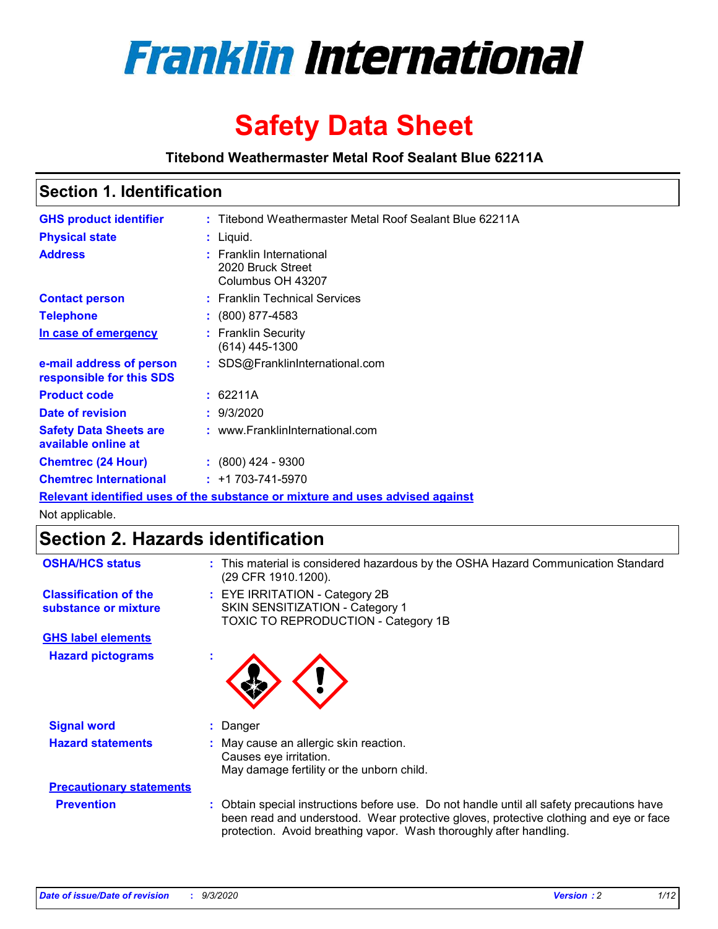

# **Safety Data Sheet**

**Titebond Weathermaster Metal Roof Sealant Blue 62211A**

### **Section 1. Identification**

| <b>GHS product identifier</b>                                                 |  | : Titebond Weathermaster Metal Roof Sealant Blue 62211A            |  |  |
|-------------------------------------------------------------------------------|--|--------------------------------------------------------------------|--|--|
| <b>Physical state</b>                                                         |  | : Liquid.                                                          |  |  |
| <b>Address</b>                                                                |  | : Franklin International<br>2020 Bruck Street<br>Columbus OH 43207 |  |  |
| <b>Contact person</b>                                                         |  | : Franklin Technical Services                                      |  |  |
| <b>Telephone</b>                                                              |  | $\colon$ (800) 877-4583                                            |  |  |
| In case of emergency                                                          |  | : Franklin Security<br>(614) 445-1300                              |  |  |
| e-mail address of person<br>responsible for this SDS                          |  | : SDS@FranklinInternational.com                                    |  |  |
| <b>Product code</b>                                                           |  | : 62211A                                                           |  |  |
| Date of revision                                                              |  | : 9/3/2020                                                         |  |  |
| <b>Safety Data Sheets are</b><br>available online at                          |  | : www.FranklinInternational.com                                    |  |  |
| <b>Chemtrec (24 Hour)</b>                                                     |  | : (800) 424 - 9300                                                 |  |  |
| <b>Chemtrec International</b>                                                 |  | $: +1703 - 741 - 5970$                                             |  |  |
| Relevant identified uses of the substance or mixture and uses advised against |  |                                                                    |  |  |

Not applicable.

# **Section 2. Hazards identification**

| <b>OSHA/HCS status</b>                               |    | : This material is considered hazardous by the OSHA Hazard Communication Standard<br>(29 CFR 1910.1200).                                                                                                                                                 |
|------------------------------------------------------|----|----------------------------------------------------------------------------------------------------------------------------------------------------------------------------------------------------------------------------------------------------------|
| <b>Classification of the</b><br>substance or mixture |    | : EYE IRRITATION - Category 2B<br>SKIN SENSITIZATION - Category 1<br>TOXIC TO REPRODUCTION - Category 1B                                                                                                                                                 |
| <b>GHS label elements</b>                            |    |                                                                                                                                                                                                                                                          |
| <b>Hazard pictograms</b>                             | ×. |                                                                                                                                                                                                                                                          |
| <b>Signal word</b>                                   | ÷. | Danger                                                                                                                                                                                                                                                   |
| <b>Hazard statements</b>                             |    | May cause an allergic skin reaction.<br>Causes eye irritation.<br>May damage fertility or the unborn child.                                                                                                                                              |
| <b>Precautionary statements</b>                      |    |                                                                                                                                                                                                                                                          |
| <b>Prevention</b>                                    |    | : Obtain special instructions before use. Do not handle until all safety precautions have<br>been read and understood. Wear protective gloves, protective clothing and eye or face<br>protection. Avoid breathing vapor. Wash thoroughly after handling. |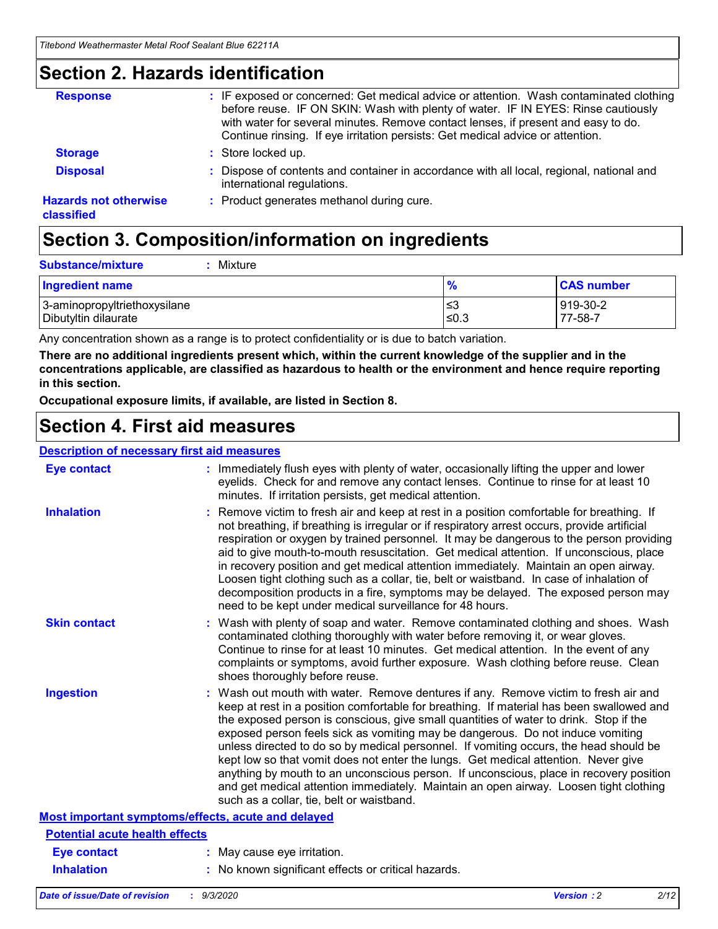### **Section 2. Hazards identification**

| <b>Response</b>                            | : IF exposed or concerned: Get medical advice or attention. Wash contaminated clothing<br>before reuse. IF ON SKIN: Wash with plenty of water. IF IN EYES: Rinse cautiously<br>with water for several minutes. Remove contact lenses, if present and easy to do.<br>Continue rinsing. If eye irritation persists: Get medical advice or attention. |
|--------------------------------------------|----------------------------------------------------------------------------------------------------------------------------------------------------------------------------------------------------------------------------------------------------------------------------------------------------------------------------------------------------|
| <b>Storage</b>                             | : Store locked up.                                                                                                                                                                                                                                                                                                                                 |
| <b>Disposal</b>                            | : Dispose of contents and container in accordance with all local, regional, national and<br>international regulations.                                                                                                                                                                                                                             |
| <b>Hazards not otherwise</b><br>classified | : Product generates methanol during cure.                                                                                                                                                                                                                                                                                                          |

# **Section 3. Composition/information on ingredients**

| <b>Substance/mixture</b> | Mixture |
|--------------------------|---------|
|                          |         |

| <b>Ingredient name</b>       | $\frac{9}{6}$ | <b>CAS number</b> |
|------------------------------|---------------|-------------------|
| 3-aminopropyltriethoxysilane | ՝≤3           | 919-30-2          |
| Dibutyltin dilaurate         | ∣≤0.3         | 77-58-7           |

Any concentration shown as a range is to protect confidentiality or is due to batch variation.

**There are no additional ingredients present which, within the current knowledge of the supplier and in the concentrations applicable, are classified as hazardous to health or the environment and hence require reporting in this section.**

**Occupational exposure limits, if available, are listed in Section 8.**

### **Section 4. First aid measures**

| <b>Description of necessary first aid measures</b> |                                                                                                                                                                                                                                                                                                                                                                                                                                                                                                                                                                                                                                                                                                                                                                           |
|----------------------------------------------------|---------------------------------------------------------------------------------------------------------------------------------------------------------------------------------------------------------------------------------------------------------------------------------------------------------------------------------------------------------------------------------------------------------------------------------------------------------------------------------------------------------------------------------------------------------------------------------------------------------------------------------------------------------------------------------------------------------------------------------------------------------------------------|
| <b>Eye contact</b>                                 | : Immediately flush eyes with plenty of water, occasionally lifting the upper and lower<br>eyelids. Check for and remove any contact lenses. Continue to rinse for at least 10<br>minutes. If irritation persists, get medical attention.                                                                                                                                                                                                                                                                                                                                                                                                                                                                                                                                 |
| <b>Inhalation</b>                                  | : Remove victim to fresh air and keep at rest in a position comfortable for breathing. If<br>not breathing, if breathing is irregular or if respiratory arrest occurs, provide artificial<br>respiration or oxygen by trained personnel. It may be dangerous to the person providing<br>aid to give mouth-to-mouth resuscitation. Get medical attention. If unconscious, place<br>in recovery position and get medical attention immediately. Maintain an open airway.<br>Loosen tight clothing such as a collar, tie, belt or waistband. In case of inhalation of<br>decomposition products in a fire, symptoms may be delayed. The exposed person may<br>need to be kept under medical surveillance for 48 hours.                                                       |
| <b>Skin contact</b>                                | : Wash with plenty of soap and water. Remove contaminated clothing and shoes. Wash<br>contaminated clothing thoroughly with water before removing it, or wear gloves.<br>Continue to rinse for at least 10 minutes. Get medical attention. In the event of any<br>complaints or symptoms, avoid further exposure. Wash clothing before reuse. Clean<br>shoes thoroughly before reuse.                                                                                                                                                                                                                                                                                                                                                                                     |
| <b>Ingestion</b>                                   | : Wash out mouth with water. Remove dentures if any. Remove victim to fresh air and<br>keep at rest in a position comfortable for breathing. If material has been swallowed and<br>the exposed person is conscious, give small quantities of water to drink. Stop if the<br>exposed person feels sick as vomiting may be dangerous. Do not induce vomiting<br>unless directed to do so by medical personnel. If vomiting occurs, the head should be<br>kept low so that vomit does not enter the lungs. Get medical attention. Never give<br>anything by mouth to an unconscious person. If unconscious, place in recovery position<br>and get medical attention immediately. Maintain an open airway. Loosen tight clothing<br>such as a collar, tie, belt or waistband. |
| Most important symptoms/effects, acute and delayed |                                                                                                                                                                                                                                                                                                                                                                                                                                                                                                                                                                                                                                                                                                                                                                           |
| <b>Potential acute health effects</b>              |                                                                                                                                                                                                                                                                                                                                                                                                                                                                                                                                                                                                                                                                                                                                                                           |
| <b>Eye contact</b>                                 | : May cause eye irritation.                                                                                                                                                                                                                                                                                                                                                                                                                                                                                                                                                                                                                                                                                                                                               |
| <b>Inhalation</b>                                  | : No known significant effects or critical hazards.                                                                                                                                                                                                                                                                                                                                                                                                                                                                                                                                                                                                                                                                                                                       |
|                                                    |                                                                                                                                                                                                                                                                                                                                                                                                                                                                                                                                                                                                                                                                                                                                                                           |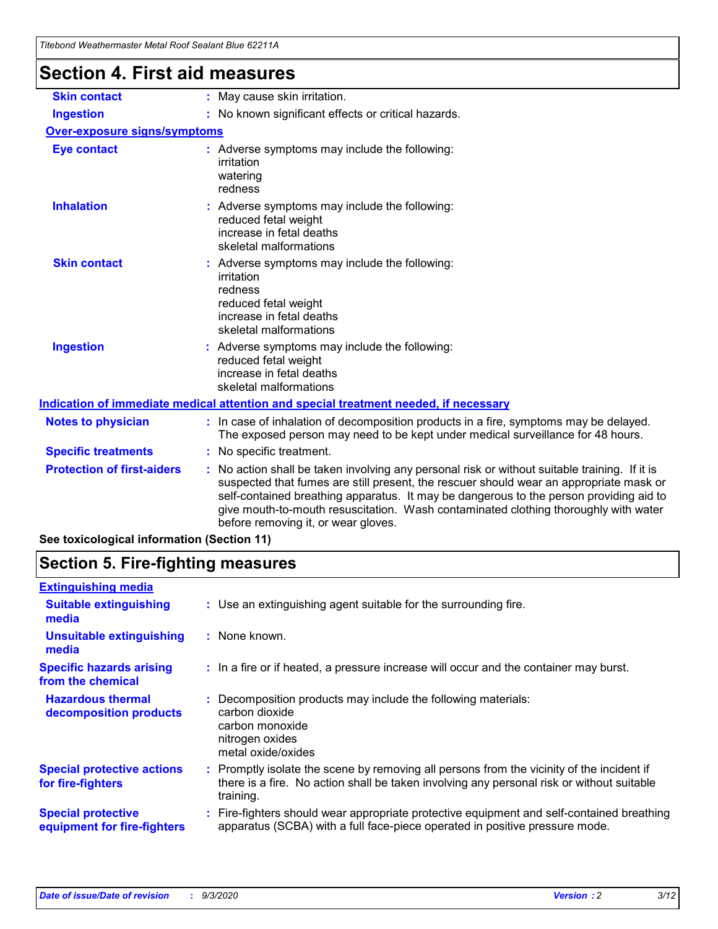| Thebolid Weathermaster Metal Roof Sealant Dide 622 FTA |                                                                                                                                                                                                                                                                                                                                                                                                                 |
|--------------------------------------------------------|-----------------------------------------------------------------------------------------------------------------------------------------------------------------------------------------------------------------------------------------------------------------------------------------------------------------------------------------------------------------------------------------------------------------|
| <b>Section 4. First aid measures</b>                   |                                                                                                                                                                                                                                                                                                                                                                                                                 |
| <b>Skin contact</b>                                    | : May cause skin irritation.                                                                                                                                                                                                                                                                                                                                                                                    |
| <b>Ingestion</b>                                       | : No known significant effects or critical hazards.                                                                                                                                                                                                                                                                                                                                                             |
| <b>Over-exposure signs/symptoms</b>                    |                                                                                                                                                                                                                                                                                                                                                                                                                 |
| <b>Eye contact</b>                                     | : Adverse symptoms may include the following:<br>irritation<br>watering<br>redness                                                                                                                                                                                                                                                                                                                              |
| <b>Inhalation</b>                                      | : Adverse symptoms may include the following:<br>reduced fetal weight<br>increase in fetal deaths<br>skeletal malformations                                                                                                                                                                                                                                                                                     |
| <b>Skin contact</b>                                    | : Adverse symptoms may include the following:<br>irritation<br>redness<br>reduced fetal weight<br>increase in fetal deaths<br>skeletal malformations                                                                                                                                                                                                                                                            |
| <b>Ingestion</b>                                       | : Adverse symptoms may include the following:<br>reduced fetal weight<br>increase in fetal deaths<br>skeletal malformations                                                                                                                                                                                                                                                                                     |
|                                                        | Indication of immediate medical attention and special treatment needed, if necessary                                                                                                                                                                                                                                                                                                                            |
| <b>Notes to physician</b>                              | : In case of inhalation of decomposition products in a fire, symptoms may be delayed.<br>The exposed person may need to be kept under medical surveillance for 48 hours.                                                                                                                                                                                                                                        |
| <b>Specific treatments</b>                             | : No specific treatment.                                                                                                                                                                                                                                                                                                                                                                                        |
| <b>Protection of first-aiders</b>                      | : No action shall be taken involving any personal risk or without suitable training. If it is<br>suspected that fumes are still present, the rescuer should wear an appropriate mask or<br>self-contained breathing apparatus. It may be dangerous to the person providing aid to<br>give mouth-to-mouth resuscitation. Wash contaminated clothing thoroughly with water<br>before removing it, or wear gloves. |

### **See toxicological information (Section 11)**

### **Section 5. Fire-fighting measures**

| <b>Extinguishing media</b>                               |                                                                                                                                                                                                     |
|----------------------------------------------------------|-----------------------------------------------------------------------------------------------------------------------------------------------------------------------------------------------------|
| <b>Suitable extinguishing</b><br>media                   | : Use an extinguishing agent suitable for the surrounding fire.                                                                                                                                     |
| <b>Unsuitable extinguishing</b><br>media                 | : None known.                                                                                                                                                                                       |
| <b>Specific hazards arising</b><br>from the chemical     | : In a fire or if heated, a pressure increase will occur and the container may burst.                                                                                                               |
| <b>Hazardous thermal</b><br>decomposition products       | Decomposition products may include the following materials:<br>carbon dioxide<br>carbon monoxide<br>nitrogen oxides<br>metal oxide/oxides                                                           |
| <b>Special protective actions</b><br>for fire-fighters   | : Promptly isolate the scene by removing all persons from the vicinity of the incident if<br>there is a fire. No action shall be taken involving any personal risk or without suitable<br>training. |
| <b>Special protective</b><br>equipment for fire-fighters | Fire-fighters should wear appropriate protective equipment and self-contained breathing<br>apparatus (SCBA) with a full face-piece operated in positive pressure mode.                              |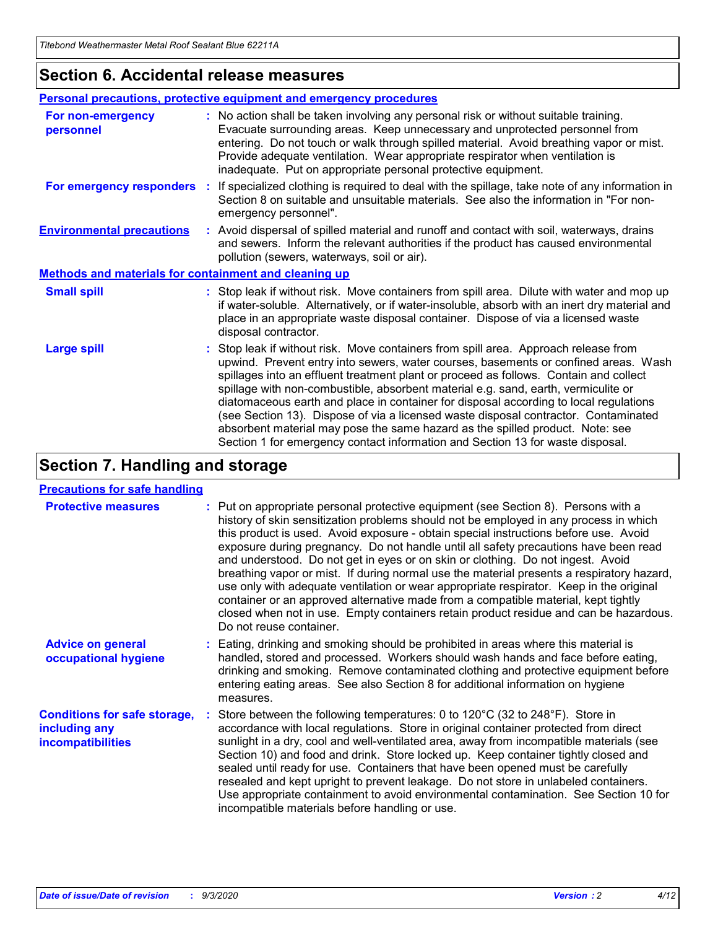### **Section 6. Accidental release measures**

|                                                       | Personal precautions, protective equipment and emergency procedures                                                                                                                                                                                                                                                                                                                                                                                                                                                                                                                                                                                                                                          |  |  |  |
|-------------------------------------------------------|--------------------------------------------------------------------------------------------------------------------------------------------------------------------------------------------------------------------------------------------------------------------------------------------------------------------------------------------------------------------------------------------------------------------------------------------------------------------------------------------------------------------------------------------------------------------------------------------------------------------------------------------------------------------------------------------------------------|--|--|--|
| For non-emergency<br>personnel                        | : No action shall be taken involving any personal risk or without suitable training.<br>Evacuate surrounding areas. Keep unnecessary and unprotected personnel from<br>entering. Do not touch or walk through spilled material. Avoid breathing vapor or mist.<br>Provide adequate ventilation. Wear appropriate respirator when ventilation is<br>inadequate. Put on appropriate personal protective equipment.                                                                                                                                                                                                                                                                                             |  |  |  |
| For emergency responders                              | : If specialized clothing is required to deal with the spillage, take note of any information in<br>Section 8 on suitable and unsuitable materials. See also the information in "For non-<br>emergency personnel".                                                                                                                                                                                                                                                                                                                                                                                                                                                                                           |  |  |  |
| <b>Environmental precautions</b>                      | : Avoid dispersal of spilled material and runoff and contact with soil, waterways, drains<br>and sewers. Inform the relevant authorities if the product has caused environmental<br>pollution (sewers, waterways, soil or air).                                                                                                                                                                                                                                                                                                                                                                                                                                                                              |  |  |  |
| Methods and materials for containment and cleaning up |                                                                                                                                                                                                                                                                                                                                                                                                                                                                                                                                                                                                                                                                                                              |  |  |  |
| <b>Small spill</b>                                    | : Stop leak if without risk. Move containers from spill area. Dilute with water and mop up<br>if water-soluble. Alternatively, or if water-insoluble, absorb with an inert dry material and<br>place in an appropriate waste disposal container. Dispose of via a licensed waste<br>disposal contractor.                                                                                                                                                                                                                                                                                                                                                                                                     |  |  |  |
| <b>Large spill</b>                                    | : Stop leak if without risk. Move containers from spill area. Approach release from<br>upwind. Prevent entry into sewers, water courses, basements or confined areas. Wash<br>spillages into an effluent treatment plant or proceed as follows. Contain and collect<br>spillage with non-combustible, absorbent material e.g. sand, earth, vermiculite or<br>diatomaceous earth and place in container for disposal according to local regulations<br>(see Section 13). Dispose of via a licensed waste disposal contractor. Contaminated<br>absorbent material may pose the same hazard as the spilled product. Note: see<br>Section 1 for emergency contact information and Section 13 for waste disposal. |  |  |  |

### **Section 7. Handling and storage**

#### **Precautions for safe handling**

| <b>Protective measures</b>                                                       | : Put on appropriate personal protective equipment (see Section 8). Persons with a<br>history of skin sensitization problems should not be employed in any process in which<br>this product is used. Avoid exposure - obtain special instructions before use. Avoid<br>exposure during pregnancy. Do not handle until all safety precautions have been read<br>and understood. Do not get in eyes or on skin or clothing. Do not ingest. Avoid<br>breathing vapor or mist. If during normal use the material presents a respiratory hazard,<br>use only with adequate ventilation or wear appropriate respirator. Keep in the original<br>container or an approved alternative made from a compatible material, kept tightly<br>closed when not in use. Empty containers retain product residue and can be hazardous.<br>Do not reuse container. |
|----------------------------------------------------------------------------------|--------------------------------------------------------------------------------------------------------------------------------------------------------------------------------------------------------------------------------------------------------------------------------------------------------------------------------------------------------------------------------------------------------------------------------------------------------------------------------------------------------------------------------------------------------------------------------------------------------------------------------------------------------------------------------------------------------------------------------------------------------------------------------------------------------------------------------------------------|
| <b>Advice on general</b><br>occupational hygiene                                 | : Eating, drinking and smoking should be prohibited in areas where this material is<br>handled, stored and processed. Workers should wash hands and face before eating,<br>drinking and smoking. Remove contaminated clothing and protective equipment before<br>entering eating areas. See also Section 8 for additional information on hygiene<br>measures.                                                                                                                                                                                                                                                                                                                                                                                                                                                                                    |
| <b>Conditions for safe storage,</b><br>including any<br><i>incompatibilities</i> | Store between the following temperatures: 0 to $120^{\circ}$ C (32 to $248^{\circ}$ F). Store in<br>accordance with local regulations. Store in original container protected from direct<br>sunlight in a dry, cool and well-ventilated area, away from incompatible materials (see<br>Section 10) and food and drink. Store locked up. Keep container tightly closed and<br>sealed until ready for use. Containers that have been opened must be carefully<br>resealed and kept upright to prevent leakage. Do not store in unlabeled containers.<br>Use appropriate containment to avoid environmental contamination. See Section 10 for<br>incompatible materials before handling or use.                                                                                                                                                     |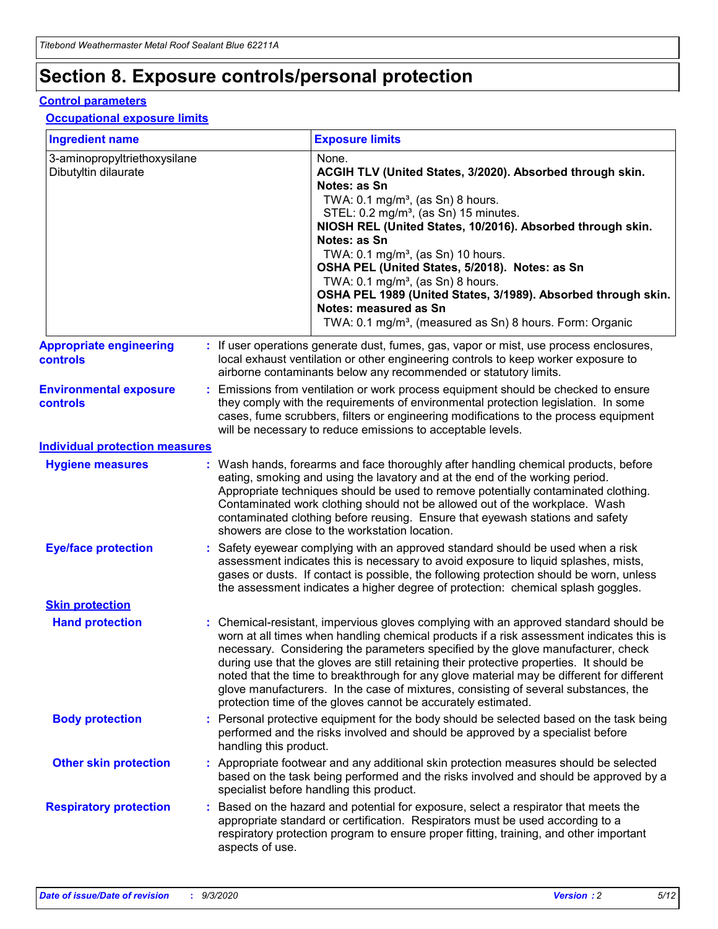# **Section 8. Exposure controls/personal protection**

#### **Control parameters**

#### **Occupational exposure limits**

| <b>Ingredient name</b>                               |    |                        | <b>Exposure limits</b>                                                                                                                                                                                                                                                                                                                                                                                                                                                                                                                                                                                                 |
|------------------------------------------------------|----|------------------------|------------------------------------------------------------------------------------------------------------------------------------------------------------------------------------------------------------------------------------------------------------------------------------------------------------------------------------------------------------------------------------------------------------------------------------------------------------------------------------------------------------------------------------------------------------------------------------------------------------------------|
| 3-aminopropyltriethoxysilane<br>Dibutyltin dilaurate |    |                        | None.<br>ACGIH TLV (United States, 3/2020). Absorbed through skin.<br>Notes: as Sn<br>TWA: $0.1 \text{ mg/m}^3$ , (as Sn) 8 hours.<br>STEL: 0.2 mg/m <sup>3</sup> , (as Sn) 15 minutes.<br>NIOSH REL (United States, 10/2016). Absorbed through skin.<br>Notes: as Sn<br>TWA: 0.1 mg/m <sup>3</sup> , (as Sn) 10 hours.<br>OSHA PEL (United States, 5/2018). Notes: as Sn<br>TWA: $0.1 \text{ mg/m}^3$ , (as Sn) 8 hours.<br>OSHA PEL 1989 (United States, 3/1989). Absorbed through skin.<br>Notes: measured as Sn<br>TWA: 0.1 mg/m <sup>3</sup> , (measured as Sn) 8 hours. Form: Organic                            |
| <b>Appropriate engineering</b><br>controls           |    |                        | : If user operations generate dust, fumes, gas, vapor or mist, use process enclosures,<br>local exhaust ventilation or other engineering controls to keep worker exposure to<br>airborne contaminants below any recommended or statutory limits.                                                                                                                                                                                                                                                                                                                                                                       |
| <b>Environmental exposure</b><br>controls            |    |                        | Emissions from ventilation or work process equipment should be checked to ensure<br>they comply with the requirements of environmental protection legislation. In some<br>cases, fume scrubbers, filters or engineering modifications to the process equipment<br>will be necessary to reduce emissions to acceptable levels.                                                                                                                                                                                                                                                                                          |
| <b>Individual protection measures</b>                |    |                        |                                                                                                                                                                                                                                                                                                                                                                                                                                                                                                                                                                                                                        |
| <b>Hygiene measures</b>                              |    |                        | : Wash hands, forearms and face thoroughly after handling chemical products, before<br>eating, smoking and using the lavatory and at the end of the working period.<br>Appropriate techniques should be used to remove potentially contaminated clothing.<br>Contaminated work clothing should not be allowed out of the workplace. Wash<br>contaminated clothing before reusing. Ensure that eyewash stations and safety<br>showers are close to the workstation location.                                                                                                                                            |
| <b>Eye/face protection</b>                           |    |                        | : Safety eyewear complying with an approved standard should be used when a risk<br>assessment indicates this is necessary to avoid exposure to liquid splashes, mists,<br>gases or dusts. If contact is possible, the following protection should be worn, unless<br>the assessment indicates a higher degree of protection: chemical splash goggles.                                                                                                                                                                                                                                                                  |
| <b>Skin protection</b>                               |    |                        |                                                                                                                                                                                                                                                                                                                                                                                                                                                                                                                                                                                                                        |
| <b>Hand protection</b>                               |    |                        | : Chemical-resistant, impervious gloves complying with an approved standard should be<br>worn at all times when handling chemical products if a risk assessment indicates this is<br>necessary. Considering the parameters specified by the glove manufacturer, check<br>during use that the gloves are still retaining their protective properties. It should be<br>noted that the time to breakthrough for any glove material may be different for different<br>glove manufacturers. In the case of mixtures, consisting of several substances, the<br>protection time of the gloves cannot be accurately estimated. |
| <b>Body protection</b>                               |    | handling this product. | Personal protective equipment for the body should be selected based on the task being<br>performed and the risks involved and should be approved by a specialist before                                                                                                                                                                                                                                                                                                                                                                                                                                                |
| <b>Other skin protection</b>                         |    |                        | : Appropriate footwear and any additional skin protection measures should be selected<br>based on the task being performed and the risks involved and should be approved by a<br>specialist before handling this product.                                                                                                                                                                                                                                                                                                                                                                                              |
| <b>Respiratory protection</b>                        | ÷. | aspects of use.        | Based on the hazard and potential for exposure, select a respirator that meets the<br>appropriate standard or certification. Respirators must be used according to a<br>respiratory protection program to ensure proper fitting, training, and other important                                                                                                                                                                                                                                                                                                                                                         |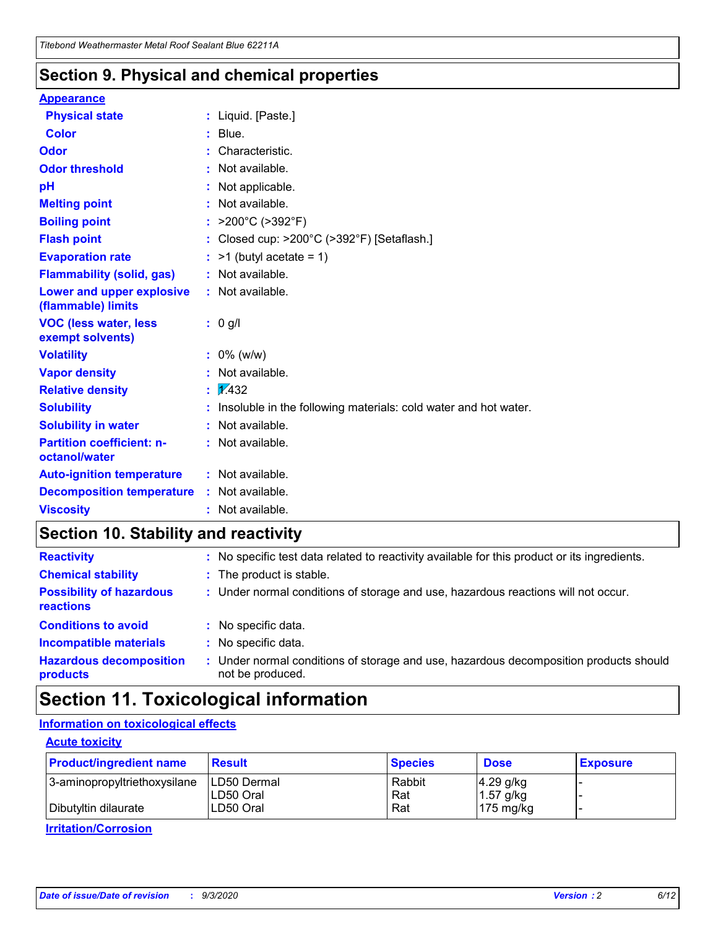### **Section 9. Physical and chemical properties**

#### **Appearance**

| <b>Physical state</b>                             |   | : Liquid. [Paste.]                                              |
|---------------------------------------------------|---|-----------------------------------------------------------------|
| <b>Color</b>                                      |   | Blue.                                                           |
| Odor                                              |   | Characteristic.                                                 |
| <b>Odor threshold</b>                             | ÷ | Not available.                                                  |
| рH                                                |   | Not applicable.                                                 |
| <b>Melting point</b>                              |   | : Not available.                                                |
| <b>Boiling point</b>                              |   | >200°C (>392°F)                                                 |
| <b>Flash point</b>                                |   | Closed cup: >200°C (>392°F) [Setaflash.]                        |
| <b>Evaporation rate</b>                           |   | $:$ >1 (butyl acetate = 1)                                      |
| <b>Flammability (solid, gas)</b>                  |   | : Not available.                                                |
| Lower and upper explosive<br>(flammable) limits   |   | : Not available.                                                |
| <b>VOC (less water, less)</b><br>exempt solvents) |   | : 0 g/l                                                         |
| <b>Volatility</b>                                 |   | $: 0\%$ (w/w)                                                   |
| <b>Vapor density</b>                              |   | Not available.                                                  |
| <b>Relative density</b>                           |   | $\mathbf{1}$ $\mathbf{\sqrt{432}}$                              |
| <b>Solubility</b>                                 |   | Insoluble in the following materials: cold water and hot water. |
| <b>Solubility in water</b>                        |   | Not available.                                                  |
| <b>Partition coefficient: n-</b><br>octanol/water |   | $:$ Not available.                                              |
| <b>Auto-ignition temperature</b>                  |   | : Not available.                                                |
| <b>Decomposition temperature</b>                  |   | : Not available.                                                |
| <b>Viscosity</b>                                  |   | $:$ Not available.                                              |

### **Section 10. Stability and reactivity**

| <b>Reactivity</b>                            |    | : No specific test data related to reactivity available for this product or its ingredients.            |
|----------------------------------------------|----|---------------------------------------------------------------------------------------------------------|
| <b>Chemical stability</b>                    |    | : The product is stable.                                                                                |
| <b>Possibility of hazardous</b><br>reactions |    | : Under normal conditions of storage and use, hazardous reactions will not occur.                       |
| <b>Conditions to avoid</b>                   |    | : No specific data.                                                                                     |
| <b>Incompatible materials</b>                | ٠. | No specific data.                                                                                       |
| <b>Hazardous decomposition</b><br>products   | ÷. | Under normal conditions of storage and use, hazardous decomposition products should<br>not be produced. |

## **Section 11. Toxicological information**

#### **Information on toxicological effects**

#### **Acute toxicity**

| <b>Product/ingredient name</b> | <b>Result</b>           | <b>Species</b> | <b>Dose</b>                | <b>Exposure</b> |
|--------------------------------|-------------------------|----------------|----------------------------|-----------------|
| 3-aminopropyltriethoxysilane   | <b>ILD50 Dermal</b>     | Rabbit         | 4.29 g/kg                  |                 |
| Dibutyltin dilaurate           | ILD50 Oral<br>LD50 Oral | Rat<br>Rat     | $1.57$ g/kg<br>175 $mg/kg$ |                 |
|                                |                         |                |                            |                 |

**Irritation/Corrosion**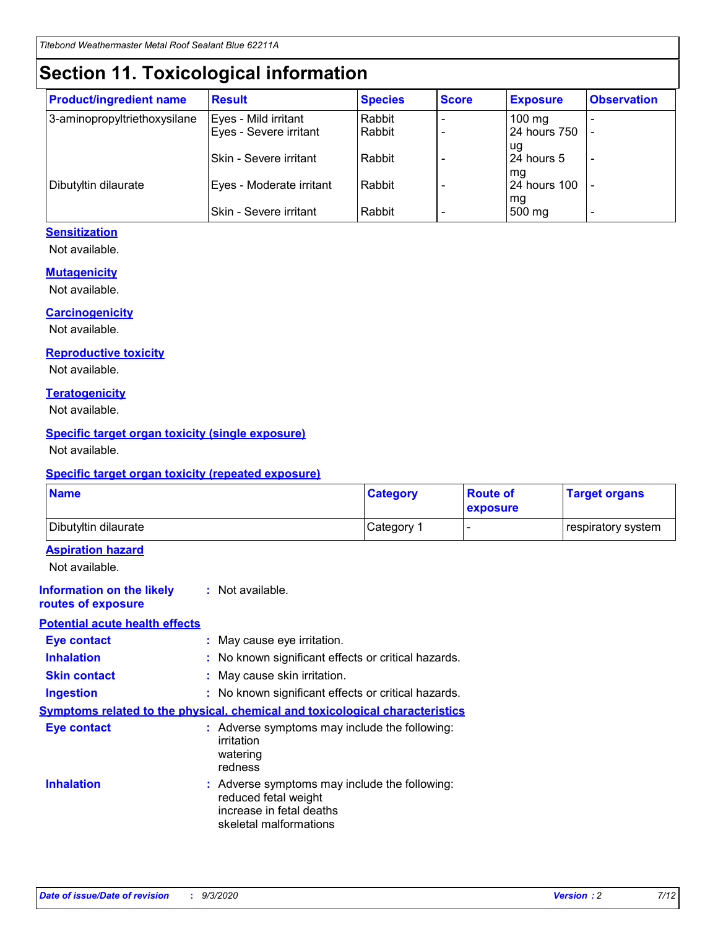# **Section 11. Toxicological information**

| <b>Product/ingredient name</b> | <b>Result</b>            | <b>Species</b> | <b>Score</b> | <b>Exposure</b>           | <b>Observation</b> |
|--------------------------------|--------------------------|----------------|--------------|---------------------------|--------------------|
| 3-aminopropyltriethoxysilane   | Eyes - Mild irritant     | Rabbit         |              | $100$ mg                  |                    |
|                                | Eyes - Severe irritant   | Rabbit         |              | 24 hours 750              |                    |
|                                |                          |                |              | ug                        |                    |
|                                | Skin - Severe irritant   | Rabbit         |              | 24 hours 5                | -                  |
| Dibutyltin dilaurate           | Eyes - Moderate irritant | Rabbit         |              | mg<br><b>24 hours 100</b> |                    |
|                                |                          |                |              | mg                        |                    |
|                                | Skin - Severe irritant   | Rabbit         |              | 500 mg                    | -                  |

#### **Sensitization**

Not available.

#### **Mutagenicity**

Not available.

#### **Carcinogenicity**

Not available.

#### **Reproductive toxicity**

Not available.

#### **Teratogenicity**

Not available.

#### **Specific target organ toxicity (single exposure)**

Not available.

#### **Specific target organ toxicity (repeated exposure)**

| <b>Name</b>                                                                         |                                                                            | <b>Category</b>                                     | <b>Route of</b><br>exposure | <b>Target organs</b> |  |  |  |
|-------------------------------------------------------------------------------------|----------------------------------------------------------------------------|-----------------------------------------------------|-----------------------------|----------------------|--|--|--|
| Dibutyltin dilaurate                                                                |                                                                            | Category 1                                          |                             | respiratory system   |  |  |  |
| <b>Aspiration hazard</b><br>Not available.                                          |                                                                            |                                                     |                             |                      |  |  |  |
| <b>Information on the likely</b><br>routes of exposure                              | : Not available.                                                           |                                                     |                             |                      |  |  |  |
| <b>Potential acute health effects</b>                                               |                                                                            |                                                     |                             |                      |  |  |  |
| <b>Eye contact</b>                                                                  | : May cause eye irritation.                                                |                                                     |                             |                      |  |  |  |
| <b>Inhalation</b>                                                                   |                                                                            | : No known significant effects or critical hazards. |                             |                      |  |  |  |
| <b>Skin contact</b>                                                                 |                                                                            | : May cause skin irritation.                        |                             |                      |  |  |  |
| <b>Ingestion</b>                                                                    |                                                                            | : No known significant effects or critical hazards. |                             |                      |  |  |  |
| <b>Symptoms related to the physical, chemical and toxicological characteristics</b> |                                                                            |                                                     |                             |                      |  |  |  |
| <b>Eye contact</b>                                                                  | irritation<br>watering<br>redness                                          | : Adverse symptoms may include the following:       |                             |                      |  |  |  |
| <b>Inhalation</b>                                                                   | reduced fetal weight<br>increase in fetal deaths<br>skeletal malformations | : Adverse symptoms may include the following:       |                             |                      |  |  |  |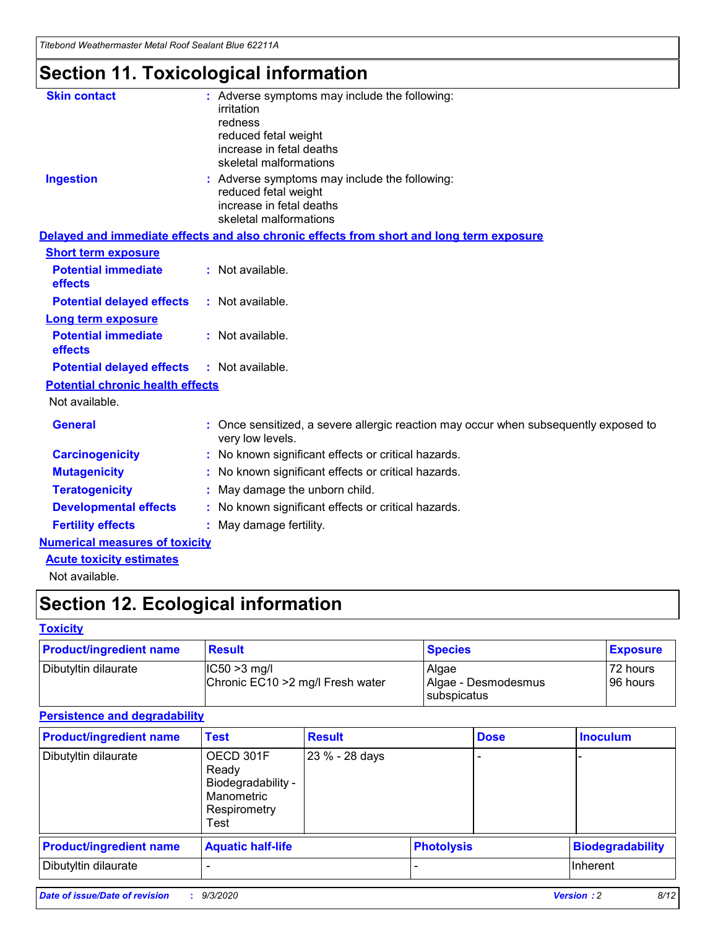*Titebond Weathermaster Metal Roof Sealant Blue 62211A*

# **Section 11. Toxicological information**

| <b>Skin contact</b>                     | irritation<br>redness<br>reduced fetal weight<br>increase in fetal deaths<br>skeletal malformations | : Adverse symptoms may include the following:                                            |
|-----------------------------------------|-----------------------------------------------------------------------------------------------------|------------------------------------------------------------------------------------------|
| <b>Ingestion</b>                        | reduced fetal weight<br>increase in fetal deaths<br>skeletal malformations                          | : Adverse symptoms may include the following:                                            |
|                                         |                                                                                                     | Delayed and immediate effects and also chronic effects from short and long term exposure |
| <b>Short term exposure</b>              |                                                                                                     |                                                                                          |
| <b>Potential immediate</b><br>effects   | : Not available.                                                                                    |                                                                                          |
| <b>Potential delayed effects</b>        | : Not available.                                                                                    |                                                                                          |
| <b>Long term exposure</b>               |                                                                                                     |                                                                                          |
| <b>Potential immediate</b><br>effects   | : Not available.                                                                                    |                                                                                          |
| <b>Potential delayed effects</b>        | : Not available.                                                                                    |                                                                                          |
| <b>Potential chronic health effects</b> |                                                                                                     |                                                                                          |
| Not available.                          |                                                                                                     |                                                                                          |
| <b>General</b>                          | very low levels.                                                                                    | : Once sensitized, a severe allergic reaction may occur when subsequently exposed to     |
| <b>Carcinogenicity</b>                  |                                                                                                     | : No known significant effects or critical hazards.                                      |
| <b>Mutagenicity</b>                     |                                                                                                     | No known significant effects or critical hazards.                                        |
| <b>Teratogenicity</b>                   |                                                                                                     | May damage the unborn child.                                                             |
| <b>Developmental effects</b>            |                                                                                                     | : No known significant effects or critical hazards.                                      |
| <b>Fertility effects</b>                | May damage fertility.                                                                               |                                                                                          |
| <b>Numerical measures of toxicity</b>   |                                                                                                     |                                                                                          |
| <b>Acute toxicity estimates</b>         |                                                                                                     |                                                                                          |
| Not available.                          |                                                                                                     |                                                                                          |

# **Section 12. Ecological information**

#### **Toxicity**

| <b>Product/ingredient name</b> | <b>Result</b>                                       | <b>Species</b>               | <b>Exposure</b>       |
|--------------------------------|-----------------------------------------------------|------------------------------|-----------------------|
| Dibutyltin dilaurate           | $ IC50>3$ mg/l<br>Chronic EC10 > 2 mg/l Fresh water | Algae<br>Algae - Desmodesmus | 72 hours<br>196 hours |
|                                |                                                     | subspicatus                  |                       |

#### **Persistence and degradability**

| <b>Product/ingredient name</b> | <b>Test</b>                                                                    | <b>Result</b>  |                   | <b>Dose</b> | <b>Inoculum</b>         |
|--------------------------------|--------------------------------------------------------------------------------|----------------|-------------------|-------------|-------------------------|
| Dibutyltin dilaurate           | OECD 301F<br>Ready<br>Biodegradability -<br>Manometric<br>Respirometry<br>Test | 23 % - 28 days |                   |             |                         |
| <b>Product/ingredient name</b> | <b>Aquatic half-life</b>                                                       |                | <b>Photolysis</b> |             | <b>Biodegradability</b> |
| Dibutyltin dilaurate           |                                                                                |                |                   |             | <b>Inherent</b>         |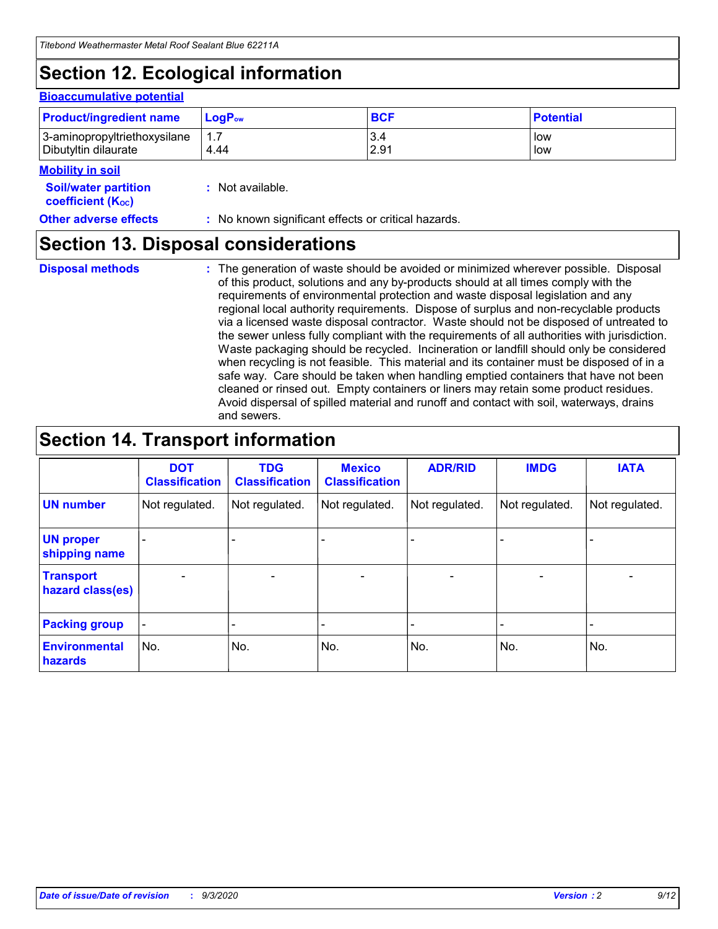# **Section 12. Ecological information**

#### **Bioaccumulative potential**

| <b>Product/ingredient name</b> | $\mathsf{LogP}_\mathsf{ow}$ | <b>BCF</b> | <b>Potential</b> |
|--------------------------------|-----------------------------|------------|------------------|
| 3-aminopropyltriethoxysilane   | $1.\overline{7}$            | 3.4        | low              |
| Dibutyltin dilaurate           | 4.44                        | 2.91       | low              |

#### **Mobility in soil**

| <b>Soil/water partition</b> | : Not available. |
|-----------------------------|------------------|
| <b>coefficient (Koc)</b>    |                  |

#### **Other adverse effects** : No known significant effects or critical hazards.

### **Section 13. Disposal considerations**

**Disposal methods :**

The generation of waste should be avoided or minimized wherever possible. Disposal of this product, solutions and any by-products should at all times comply with the requirements of environmental protection and waste disposal legislation and any regional local authority requirements. Dispose of surplus and non-recyclable products via a licensed waste disposal contractor. Waste should not be disposed of untreated to the sewer unless fully compliant with the requirements of all authorities with jurisdiction. Waste packaging should be recycled. Incineration or landfill should only be considered when recycling is not feasible. This material and its container must be disposed of in a safe way. Care should be taken when handling emptied containers that have not been cleaned or rinsed out. Empty containers or liners may retain some product residues. Avoid dispersal of spilled material and runoff and contact with soil, waterways, drains and sewers.

### **Section 14. Transport information**

|                                      | <b>DOT</b><br><b>Classification</b> | <b>TDG</b><br><b>Classification</b> | <b>Mexico</b><br><b>Classification</b> | <b>ADR/RID</b>           | <b>IMDG</b>              | <b>IATA</b>    |
|--------------------------------------|-------------------------------------|-------------------------------------|----------------------------------------|--------------------------|--------------------------|----------------|
| <b>UN number</b>                     | Not regulated.                      | Not regulated.                      | Not regulated.                         | Not regulated.           | Not regulated.           | Not regulated. |
| <b>UN proper</b><br>shipping name    |                                     |                                     |                                        |                          |                          |                |
| <b>Transport</b><br>hazard class(es) | $\blacksquare$                      | $\overline{\phantom{0}}$            | $\overline{\phantom{a}}$               | $\overline{\phantom{0}}$ | $\overline{\phantom{a}}$ | $\blacksquare$ |
| <b>Packing group</b>                 |                                     |                                     |                                        |                          |                          | -              |
| <b>Environmental</b><br>hazards      | No.                                 | No.                                 | No.                                    | No.                      | No.                      | No.            |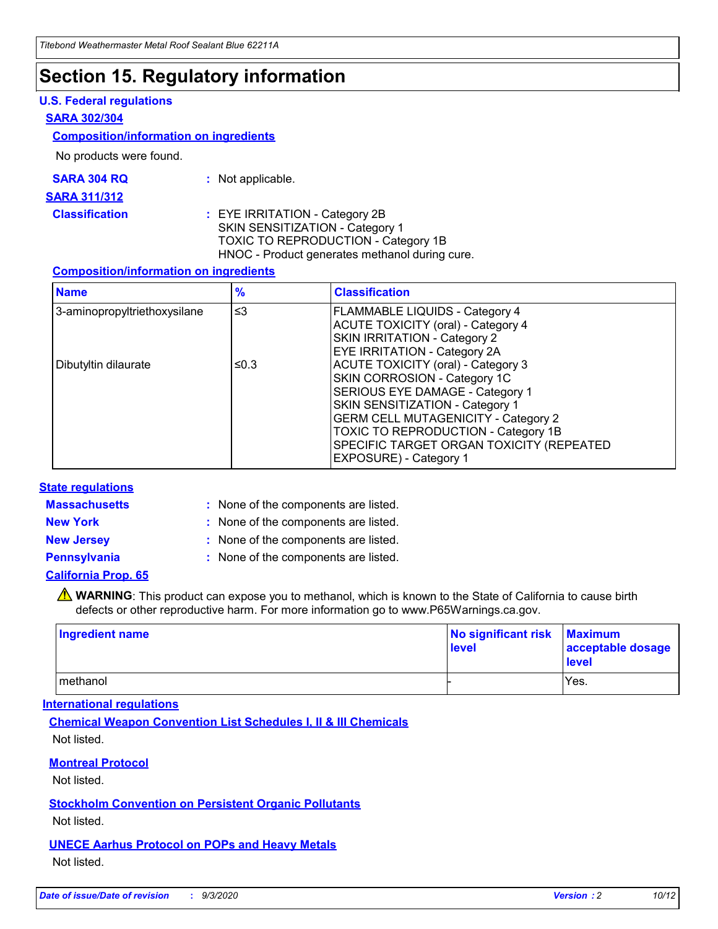### **Section 15. Regulatory information**

#### **U.S. Federal regulations**

#### **SARA 302/304**

#### **Composition/information on ingredients**

No products were found.

| SARA 304 RQ | Not applicable. |
|-------------|-----------------|
|-------------|-----------------|

#### **SARA 311/312**

#### **Classification :** EYE IRRITATION - Category 2B SKIN SENSITIZATION - Category 1 TOXIC TO REPRODUCTION - Category 1B HNOC - Product generates methanol during cure.

#### **Composition/information on ingredients**

| <b>Name</b>                  | $\frac{9}{6}$ | <b>Classification</b>                                                                                                                                                                                                                                                                                      |
|------------------------------|---------------|------------------------------------------------------------------------------------------------------------------------------------------------------------------------------------------------------------------------------------------------------------------------------------------------------------|
| 3-aminopropyltriethoxysilane | $\leq$ 3      | <b>FLAMMABLE LIQUIDS - Category 4</b><br><b>ACUTE TOXICITY (oral) - Category 4</b><br><b>SKIN IRRITATION - Category 2</b><br>EYE IRRITATION - Category 2A                                                                                                                                                  |
| Dibutyltin dilaurate         | ≤0.3          | <b>ACUTE TOXICITY (oral) - Category 3</b><br>SKIN CORROSION - Category 1C<br>SERIOUS EYE DAMAGE - Category 1<br>SKIN SENSITIZATION - Category 1<br><b>GERM CELL MUTAGENICITY - Category 2</b><br>TOXIC TO REPRODUCTION - Category 1B<br>SPECIFIC TARGET ORGAN TOXICITY (REPEATED<br>EXPOSURE) - Category 1 |

#### **State regulations**

**Massachusetts :**

: None of the components are listed.

**New York :** None of the components are listed. **New Jersey :** None of the components are listed.

**Pennsylvania :** None of the components are listed.

#### **California Prop. 65**

WARNING: This product can expose you to methanol, which is known to the State of California to cause birth defects or other reproductive harm. For more information go to www.P65Warnings.ca.gov.

| Ingredient name | No significant risk Maximum<br>level | acceptable dosage<br><b>level</b> |
|-----------------|--------------------------------------|-----------------------------------|
| I methanol      |                                      | Yes.                              |

#### **International regulations**

**Chemical Weapon Convention List Schedules I, II & III Chemicals** Not listed.

#### **Montreal Protocol**

Not listed.

**Stockholm Convention on Persistent Organic Pollutants**

Not listed.

#### **UNECE Aarhus Protocol on POPs and Heavy Metals** Not listed.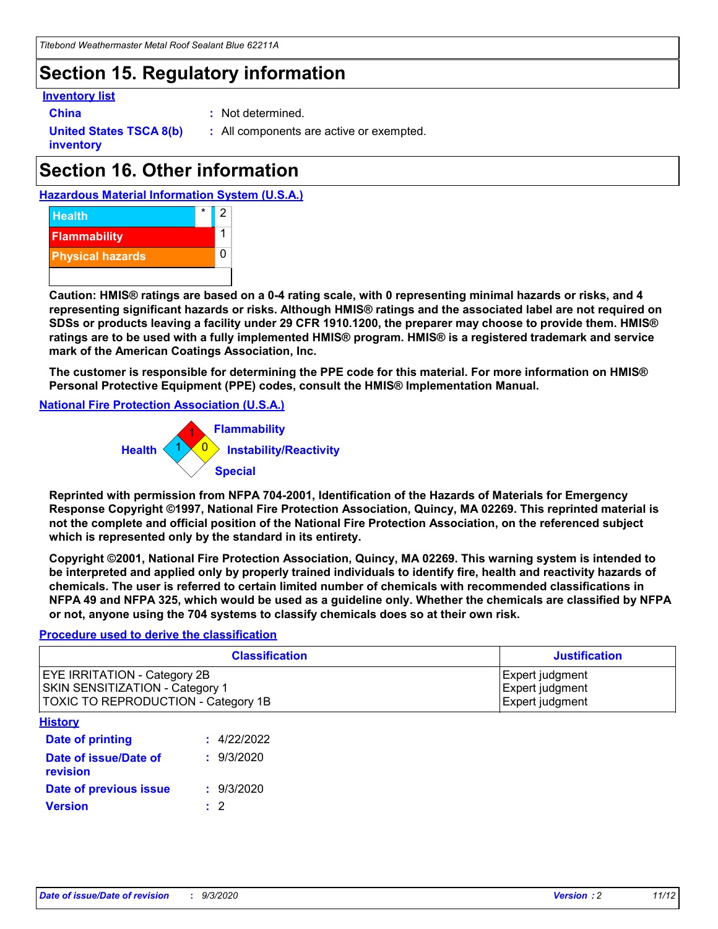# **Section 15. Regulatory information**

#### **Inventory list**

- 
- **China :** Not determined.

**United States TSCA 8(b) inventory**

**:** All components are active or exempted.

# **Section 16. Other information**





**Caution: HMIS® ratings are based on a 0-4 rating scale, with 0 representing minimal hazards or risks, and 4 representing significant hazards or risks. Although HMIS® ratings and the associated label are not required on SDSs or products leaving a facility under 29 CFR 1910.1200, the preparer may choose to provide them. HMIS® ratings are to be used with a fully implemented HMIS® program. HMIS® is a registered trademark and service mark of the American Coatings Association, Inc.**

**The customer is responsible for determining the PPE code for this material. For more information on HMIS® Personal Protective Equipment (PPE) codes, consult the HMIS® Implementation Manual.**

**National Fire Protection Association (U.S.A.)**



**Reprinted with permission from NFPA 704-2001, Identification of the Hazards of Materials for Emergency Response Copyright ©1997, National Fire Protection Association, Quincy, MA 02269. This reprinted material is not the complete and official position of the National Fire Protection Association, on the referenced subject which is represented only by the standard in its entirety.**

**Copyright ©2001, National Fire Protection Association, Quincy, MA 02269. This warning system is intended to be interpreted and applied only by properly trained individuals to identify fire, health and reactivity hazards of chemicals. The user is referred to certain limited number of chemicals with recommended classifications in NFPA 49 and NFPA 325, which would be used as a guideline only. Whether the chemicals are classified by NFPA or not, anyone using the 704 systems to classify chemicals does so at their own risk.**

#### **Procedure used to derive the classification**

| <b>Classification</b>                                                                                                | <b>Justification</b>                                  |
|----------------------------------------------------------------------------------------------------------------------|-------------------------------------------------------|
| <b>EYE IRRITATION - Category 2B</b><br><b>SKIN SENSITIZATION - Category 1</b><br>TOXIC TO REPRODUCTION - Category 1B | Expert judgment<br>Expert judgment<br>Expert judgment |
| <b>History</b>                                                                                                       |                                                       |

| .                                 |             |
|-----------------------------------|-------------|
| <b>Date of printing</b>           | : 4/22/2022 |
| Date of issue/Date of<br>revision | : 9/3/2020  |
| Date of previous issue            | : 9/3/2020  |
| <b>Version</b>                    | $\cdot$ 2   |
|                                   |             |